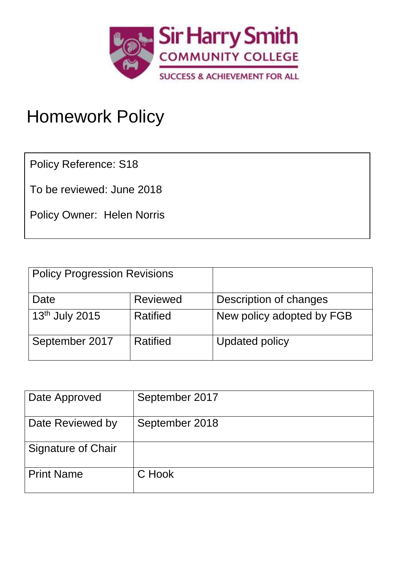

# Homework Policy

Policy Reference: S18

To be reviewed: June 2018

Policy Owner: Helen Norris

| <b>Policy Progression Revisions</b> |                 |                           |
|-------------------------------------|-----------------|---------------------------|
| Date                                | <b>Reviewed</b> | Description of changes    |
| $13th$ July 2015                    | Ratified        | New policy adopted by FGB |
| September 2017                      | Ratified        | <b>Updated policy</b>     |

| Date Approved             | September 2017 |
|---------------------------|----------------|
| Date Reviewed by          | September 2018 |
| <b>Signature of Chair</b> |                |
| <b>Print Name</b>         | C Hook         |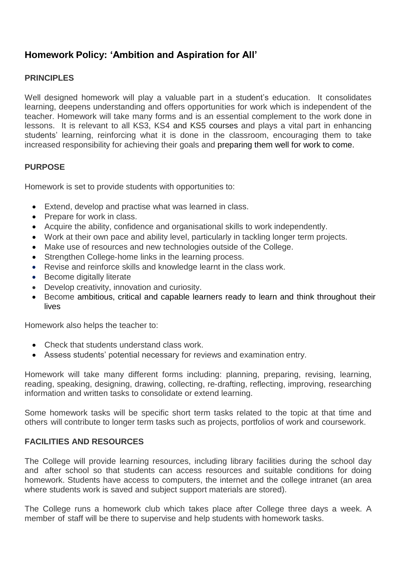# **Homework Policy: 'Ambition and Aspiration for All'**

### **PRINCIPLES**

Well designed homework will play a valuable part in a student's education. It consolidates learning, deepens understanding and offers opportunities for work which is independent of the teacher. Homework will take many forms and is an essential complement to the work done in lessons. It is relevant to all KS3, KS4 and KS5 courses and plays a vital part in enhancing students' learning, reinforcing what it is done in the classroom, encouraging them to take increased responsibility for achieving their goals and preparing them well for work to come.

#### **PURPOSE**

Homework is set to provide students with opportunities to:

- Extend, develop and practise what was learned in class.
- Prepare for work in class.
- Acquire the ability, confidence and organisational skills to work independently.
- Work at their own pace and ability level, particularly in tackling longer term projects.
- Make use of resources and new technologies outside of the College.
- Strengthen College-home links in the learning process.
- Revise and reinforce skills and knowledge learnt in the class work.
- Become digitally literate
- Develop creativity, innovation and curiosity.
- Become ambitious, critical and capable learners ready to learn and think throughout their lives

Homework also helps the teacher to:

- Check that students understand class work.
- Assess students' potential necessary for reviews and examination entry.

Homework will take many different forms including: planning, preparing, revising, learning, reading, speaking, designing, drawing, collecting, re-drafting, reflecting, improving, researching information and written tasks to consolidate or extend learning.

Some homework tasks will be specific short term tasks related to the topic at that time and others will contribute to longer term tasks such as projects, portfolios of work and coursework.

#### **FACILITIES AND RESOURCES**

The College will provide learning resources, including library facilities during the school day and after school so that students can access resources and suitable conditions for doing homework. Students have access to computers, the internet and the college intranet (an area where students work is saved and subject support materials are stored).

The College runs a homework club which takes place after College three days a week. A member of staff will be there to supervise and help students with homework tasks.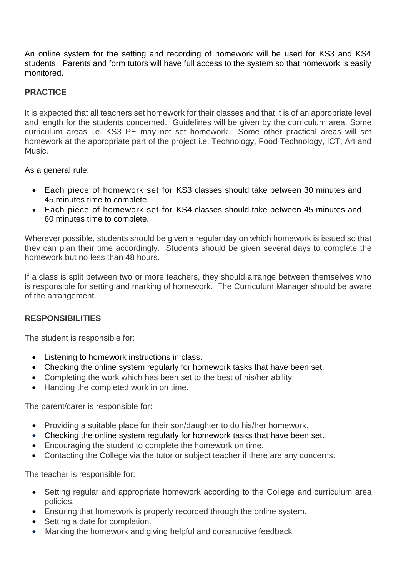An online system for the setting and recording of homework will be used for KS3 and KS4 students. Parents and form tutors will have full access to the system so that homework is easily monitored.

# **PRACTICE**

It is expected that all teachers set homework for their classes and that it is of an appropriate level and length for the students concerned. Guidelines will be given by the curriculum area. Some curriculum areas i.e. KS3 PE may not set homework. Some other practical areas will set homework at the appropriate part of the project i.e. Technology, Food Technology, ICT, Art and Music.

As a general rule:

- Each piece of homework set for KS3 classes should take between 30 minutes and 45 minutes time to complete.
- Each piece of homework set for KS4 classes should take between 45 minutes and 60 minutes time to complete.

Wherever possible, students should be given a regular day on which homework is issued so that they can plan their time accordingly. Students should be given several days to complete the homework but no less than 48 hours.

If a class is split between two or more teachers, they should arrange between themselves who is responsible for setting and marking of homework. The Curriculum Manager should be aware of the arrangement.

# **RESPONSIBILITIES**

The student is responsible for:

- Listening to homework instructions in class.
- Checking the online system regularly for homework tasks that have been set.
- Completing the work which has been set to the best of his/her ability.
- Handing the completed work in on time.

The parent/carer is responsible for:

- Providing a suitable place for their son/daughter to do his/her homework.
- Checking the online system regularly for homework tasks that have been set.
- Encouraging the student to complete the homework on time.
- Contacting the College via the tutor or subject teacher if there are any concerns.

The teacher is responsible for:

- Setting regular and appropriate homework according to the College and curriculum area policies.
- Ensuring that homework is properly recorded through the online system.
- Setting a date for completion.
- Marking the homework and giving helpful and constructive feedback